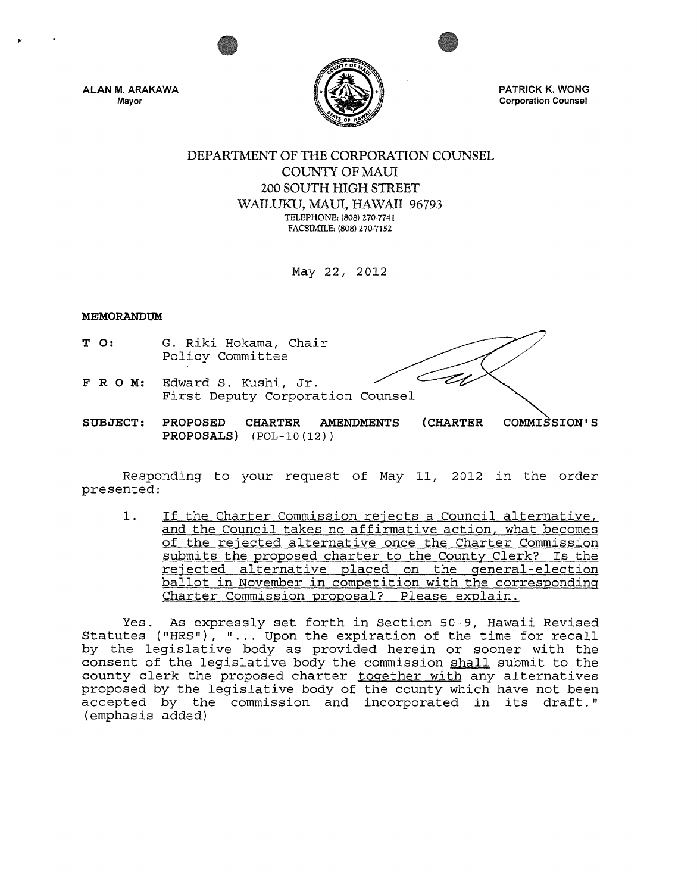

ALAN M. ARAKAWA Mayor

PATRICK K. WONG Corporation Counsel

# DEPARTMENT OF THE CORPORATION COUNSEL COUNTY OF MAUl 200 SOUTH HIGH STREET WAILUKU, MAUl, HAWAII 96793 TELEPHONE, (808) 270-7741 FACSIMILE, (808) 270-7152

May 22, 2012

## MEMORANDUM

- T 0: G. Riki Hokama, Chair Policy Committee
- FRO M: Edward S. Kushi, Jr. First Deputy Corporation Counsel
- SUBJECT: PROPOSED PROPOSALS) (POL-IO(12)) CHARTER AMENDMENTS (CHARTER COMMI SION'S

Responding to your request of May 11, 2012 in the order presented:

1. If the Charter Commission rejects a Council alternative, and the Council takes no affirmative action, what becomes of the rejected alternative once the Charter Commission submits the proposed charter to the County Clerk? Is the rejected alternative placed on the general-election ballot in November in competition with the corresponding Charter Commission proposal? Please explain.

Yes. As expressly set forth in section 50-9, Hawaii Revised Statutes ("HRS"), "... Upon the expiration of the time for recall by the legislative body as provided herein or sooner with the consent of the legislative body the commission shall submit to the county clerk the proposed charter together with any alternatives proposed by the legislative body of the county which have not been accepted by the commission and incorporated in its draft." (emphasis added)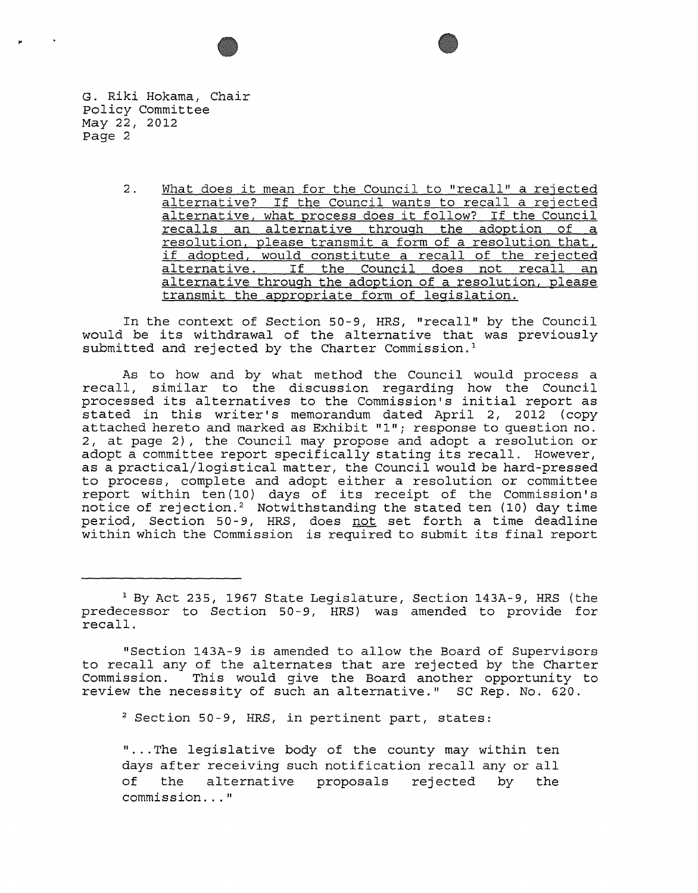G. Riki Hokama, Chair policy Committee May 22, 2012 Page 2

> 2. What does it mean for the Council to "recall" a rejected alternative? If the Council wants to recall a rejected alternative, what process does it follow? If the Council recalls an alternative through the adoption of a resolution, please transmit a form of a resolution that, if adopted, would constitute a recall of the rejected alternative. If the Council does not recall an alternative through the adoption of a resolution, please transmit the appropriate form of legislation.

In the context of Section 50-9, HRS, "recall" by the Council would be its withdrawal of the alternative that was previously submitted and rejected by the Charter Commission.<sup>1</sup>

As to how and by what method the Council would process a recall, similar to the discussion regarding how the Council processed its alternatives to the Commission's initial report as stated in this writer's memorandum dated April 2, 2012 (copy attached hereto and marked as Exhibit "1" *i* response to question no. 2, at page 2), the Council may propose and adopt a resolution or adopt a committee report specifically stating its recall. However, as a practical/logistical matter, the Council would be hard-pressed to process, complete and adopt either a resolution or committee report within ten(10) days of its receipt of the Commission's notice of rejection.<sup>2</sup> Notwithstanding the stated ten (10) day time period, Section 50-9, HRS, does not set forth a time deadline within which the Commission is required to submit its final report

"Section 143A-9 is amended to allow the Board of Supervisors to recall any of the alternates that are rejected by the Charter<br>Commission. This would give the Board another opportunity to This would give the Board another opportunity to review the necessity of such an alternative." SC Rep. No. 620.

2 Section 50-9, HRS, in pertinent part, states:

"... The legislative body of the county may within ten days after receiving such notification recall any or all<br>of the alternative proposals rejected by the<br>commission..."

<sup>&</sup>lt;sup>1</sup> By Act 235, 1967 State Legislature, Section 143A-9, HRS (the predecessor to Section 50-9, HRS) was amended to provide for recall.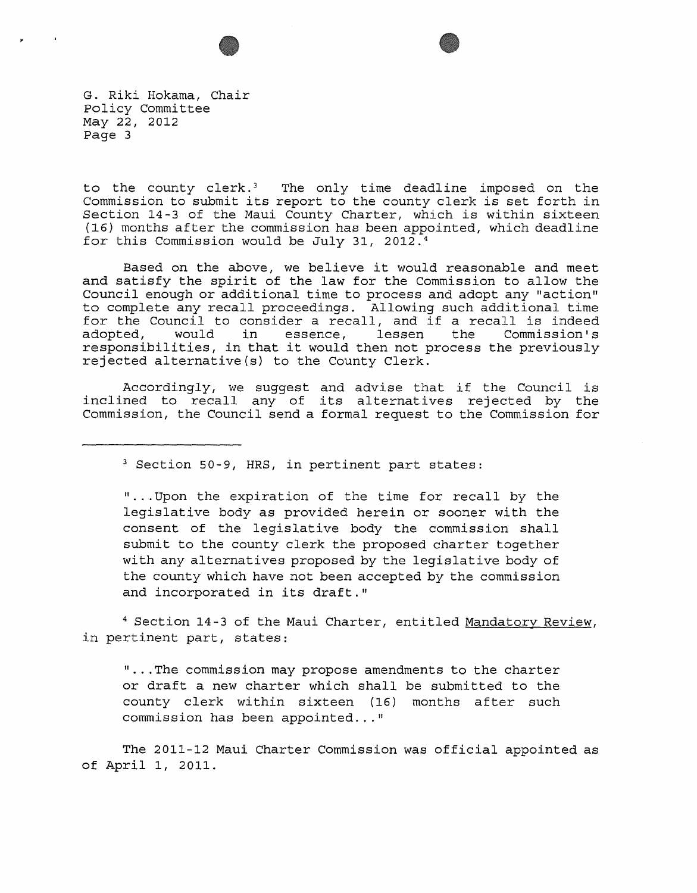



G. Riki Hokama, Chair Policy Committee May 22, 2012 Page 3

to the county clerk.<sup>3</sup> The only time deadline imposed on the Commission to submit its report to the county clerk is set forth in Section 14-3 of the Maui County Charter, which is within sixteen (16) months after the commission has been appointed, which deadline for this Commission would be July 31, 2012.4

Based on the above, we believe it would reasonable and meet and satisfy the spirit of the law for the Commission to allow the Council enough or additional time to process and adopt any "action" to complete any recall proceedings. Allowing such additional time for the Council to consider a recall, and if a recall is indeed adopted, would in essence, lessen the Commission's adopted, would in essence, lessen the Commission's<br>responsibilities, in that it would then not process the previously rejected alternative(s) to the County Clerk.

Accordingly, we suggest and advise that if the Council is inclined to recall any of its alternatives rejected by the Commission, the Council send a formal request to the Commission for

3 Section 50-9, HRS, in pertinent part states:

" ... Upon the expiration of the time for recall by the legislative body as provided herein or sooner with the consent of the legislative body the commission shall submit to the county clerk the proposed charter together with any alternatives proposed by the legislative body of the county which have not been accepted by the commission and incorporated in its draft."

<sup>4</sup> Section 14-3 of the Maui Charter, entitled Mandatory Review, in pertinent part, states:

" ... The commission may propose amendments to the charter or draft a new charter which shall be submitted to the county clerk within sixteen (16) months after such commission has been appointed..."

The 2011-12 Maui Charter Commission was official appointed as of April I, 2011.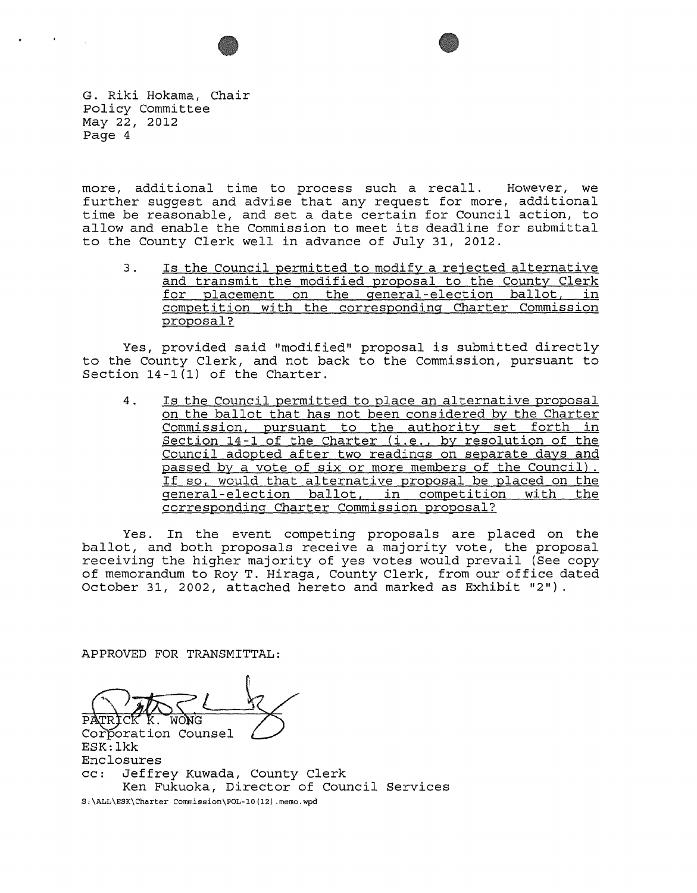



G. Riki Hokama, Chair Policy Committee May 22, 2012 Page 4

more, additional time to process such a recall. However, we further suggest and advise that any request for more, additional time be reasonable, and set a date certain for Council action, to allow and enable the Commission to meet its deadline for submittal to the County Clerk well in advance of July 31, 2012.

3. Is the Council permitted to modify a rejected alternative and transmit the modified proposal to the County Clerk for placement on the general-election ballot, in competition with the corresponding Charter Commission proposal?

Yes, provided said "modified" proposal is submitted directly to the County Clerk, and not back to the Commission, pursuant to Section 14-1(1) of the Charter.

4. Is the Council permitted to place an alternative proposal on the ballot that has not been considered by the Charter Commission, pursuant to the authority set forth in Section 14-1 of the Charter (i.e., by resolution of the Council adopted after two readings on separate days and passed by a vote of six or more members of the Council) . If so, would that alternative proposal be placed on the general-election ballot, in competition with the corresponding Charter Commission proposal?

Yes. In the event competing proposals are placed on the ballot, and both proposals receive a majority vote, the proposal receiving the higher majority of yes votes would prevail (See copy of memorandum to Roy T. Hiraga, County Clerk, from our office dated October 31, 2002, attached hereto and marked as Exhibit "2").

APPROVED FOR TRANSMITTAL:

Corporation Counsel Enclosures cc: Jeffrey Kuwada, County Clerk Ken Fukuoka, Director of Council Services S:\ALL\ESK\Charter commission\pOL-10(12} .memo.wpd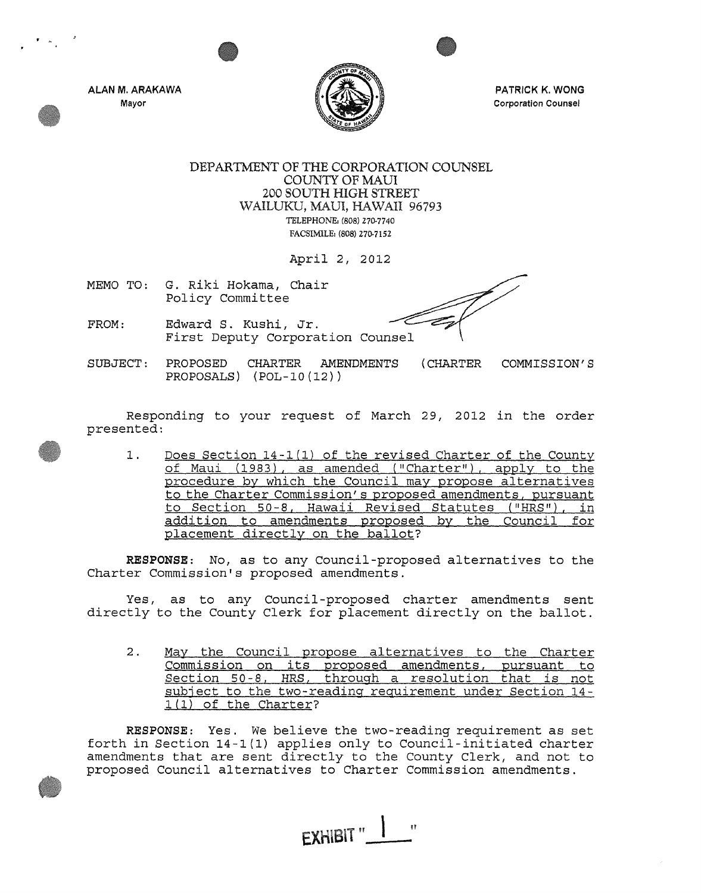ALAN M. ARAKAWA Mayor



PATRICK K. WONG Corporation Counsel

DEPARTMENT OF THE CORPORATION COUNSEL COUNTY OF MAUl 200 SOUTH HIGH STREET WAILUKU, MAUl, HAWAII 96793 TELEPHONE. (808) 270-7740 FACSIMILE, (808) 270-7152

April 2, 2012

MEMO TO: G. Riki Hokama, Chair Policy Committee

- FROM: Edward S. Kushi, Jr. First Deputy Corporation Counsel
- SUBJECT: PROPOSED PROPOSALS) (POL-I0(12)) CHARTER AMENDMENTS (CHARTER COMMISSION'S

Responding to your request of March 29, 2012 in the order presented:

1. Does Section 14-1(1) of the revised Charter of the County of Maui (1983), as amended ("Charter"), apply to the procedure by which the Council may propose alternatives to the Charter Commission's proposed amendments, pursuant to Section 50-8, Hawaii Revised Statutes ("HRS"), in addition to amendments proposed by the Council for placement directly on the ballot?

RESPONSE: No, as to any Council-proposed alternatives to the Charter Commission's proposed amendments.

Yes, as to any Council-proposed charter amendments sent directly to the County Clerk for placement directly on the ballot.

2. May the Council propose alternatives to the Charter Commission on its proposed amendments, pursuant to Section 50-8, HRS, through a resolution that is not subject to the two-reading requirement under Section 14- 1(1) of the Charter?

RESPONSE: Yes. We believe the two-reading requirement as set forth in Section 14-1(1) applies only to Council-initiated charter amendments that are sent directly to the County Clerk, and not to proposed Council alternatives to Charter Commission amendments.

EXHIBIT "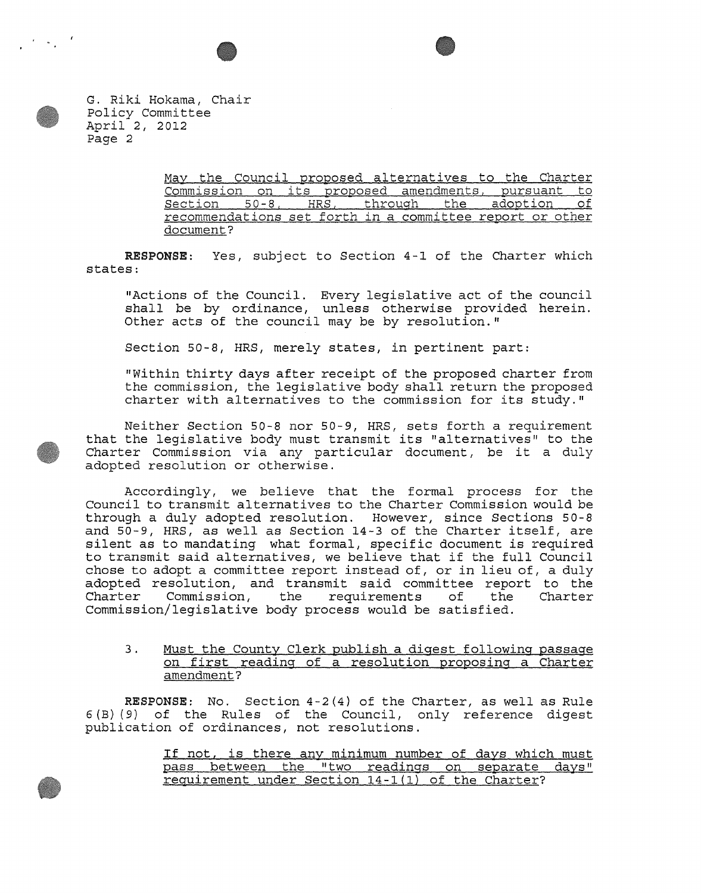

G. Riki Hokama, Chair policy Committee April 2, 2012 Page 2

> May the Council proposed alternatives to the Charter Commission on its proposed amendments, pursuant to section 50-S, HRS, through the adoption of recommendations set forth in a committee report or other document?

RESPONSE: Yes, subject to Section 4-1 of the Charter which states:

"Actions of the Council. Every legislative act of the council shall be by ordinance, unless otherwise provided herein. Other acts of the council may be by resolution."

Section 50-8, HRS, merely states, in pertinent part:

"Within thirty days after receipt of the proposed charter from the commission, the legislative body shall return the proposed charter with alternatives to the commission for its study."

Neither Section 50-8 nor 50-9, HRS, sets forth a requirement that the legislative body must transmit its "alternatives" to the Charter Commission via any particular document, be it a duly adopted resolution or otherwise.

Accordingly, we believe that the formal process for the Council to transmit alternatives to the Charter Commission would be through a duly adopted resolution. However, since Sections 50-8 and 50-9, HRS, as well as Section 14-3 of the Charter itself, are silent as to mandating what formal, specific document is required to transmit said alternatives, we believe that if the full Council chose to adopt a committee report instead of, or in lieu of, a duly adopted resolution, and transmit said committee report to the<br>Charter Commission, the requirements of the Charter requirements Commission/legislative body process would be satisfied.

3. Must the County Clerk publish a digest following passage on first reading of a resolution proposing a Charter amendment?

RESPONSE: No. Section 4-2(4) of the Charter, as well as Rule 6(B) (9) of the Rules of the Council, only reference digest publication of ordinances, not resolutions.

> If not, is there any minimum number of days which must pass between the "two readings on separate days" requirement under Section 14-1(1) of the Charter?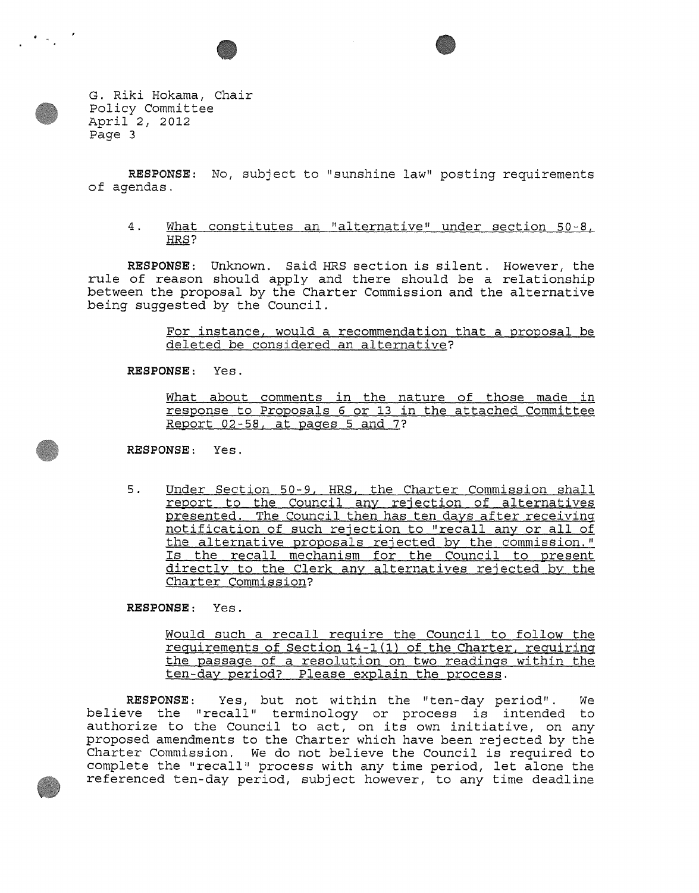

G. Riki Hokama, Chair policy Committee April 2, 2012 Page 3

RESPONSE: No, subject to "sunshine law" posting requirements of agendas.

4. What constitutes an "alternative" under section 50-8, HRS?

RESPONSE: Unknown. Said HRS section is silent. However, the rule of reason should apply and there should be a relationship between the proposal by the Charter Commission and the alternative being suggested by the Council.

> For instance, would a recommendation that a proposal be deleted be considered an alternative?

RESPONSE: Yes.

What about comments in the nature of those made in response to Proposals 6 or 13 in the attached Committee Report 02-58, at pages 5 and 7?

RESPONSE: Yes.

5. Under Section 50-9, HRS, the Charter Commission shall report to the Council any rejection of alternatives presented. The Council then has ten days after receiving notification of such rejection to "recall any or all of the alternative proposals rejected by the commission." Is the recall mechanism for the Council to present directly to the Clerk any alternatives rejected by the Charter Commission?

RESPONSE: Yes.

Would such a recall require the Council to follow the requirements of Section 14-1(1) of the Charter, requiring the passage of a resolution on two readings within the ten-day period? Please explain the process.

RESPONSE: Yes, but not within the "ten-day period". We believe the "recall" terminology or process is intended to befieve the fecall terminology of process is intended to<br>authorize to the Council to act, on its own initiative, on any proposed amendments to the Charter which have been rejected by the Charter Commission. We do not believe the Council is required to complete the "recall" process with any time period, let alone the referenced ten-day period, subject however, to any time deadline

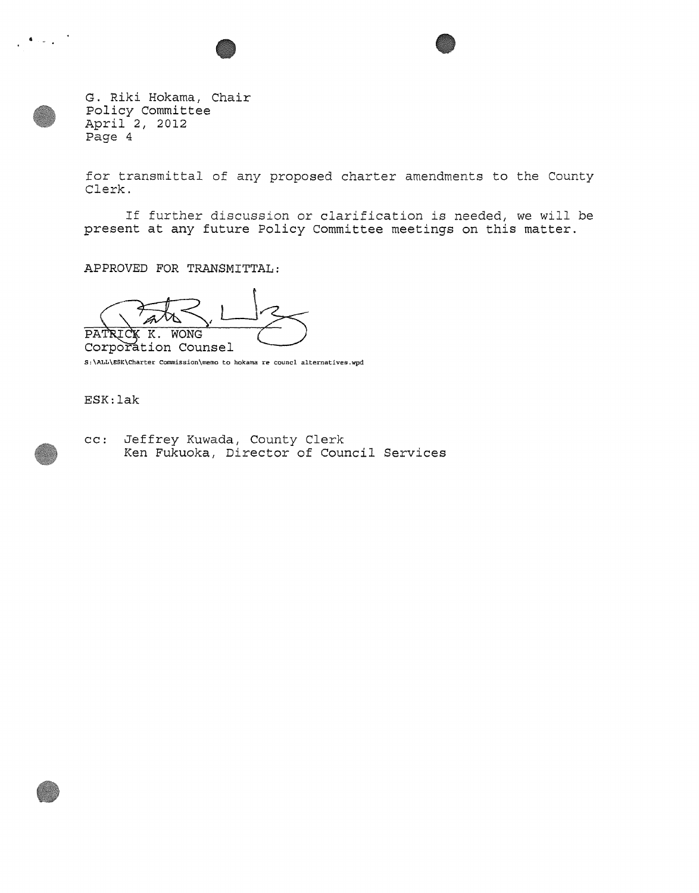

G. Riki Hokama, Chair Policy Committee April 2, 2012 Page 4

for transmittal of any proposed charter amendments to the County Clerk.

If further discussion or clarification is needed, we will be present at any future Policy Committee meetings on this matter.

APPROVED FOR TRANSMITTAL:

PATRICK K. WONG<br>Corporation Counsel

S: \ALL\ESK\Charter Commission\memo to hokama re councl alternatives.wpd

ESK:lak

- 
- cc: Jeffrey Kuwada, County Clerk Ken Fukuoka, Director of Council Services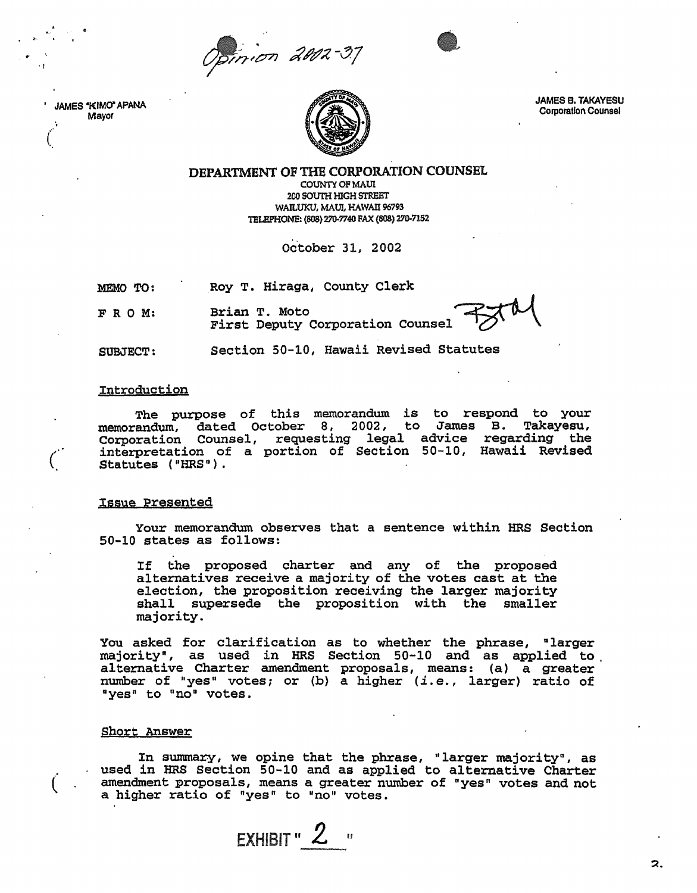pinion 2002-37



JAMES "KIMO" APANA Mayor

. "

 $\frac{1}{2}$ 

 $\big($ 



JAMES B. TAKAVESU Corporation Counsel

~.

DEPARTMENT OF THE CORPORATION COUNSEL

COUNTY OF MAUI 200 SOUTH HIGH STREET WAILUKU, MAUl, HAWAII 96793 TELEPHONE: (808) 270-7740 FAX (808) 270-7152

October 31, 2002

MEMO TO: Roy T. Hiraga, County Clerk

FRO M: Brian T. Moto<br>First Deputy Corporation Counsel

SUBJECT: Section 50-10, Hawaii Revised Statutes

## Introduction

The purpose of this memorandum is to respond to your memorandum, dated October 8, 2002, to James B. Takayesu, Corporation Counsel, requesting legal advice regarding the interpretation of a portion of Section 50-10, Hawaii Revised Statutes ("HRS").

### :Issue presented

Your memorandum observes that a sentence within HRS Section 50-10 states as follows:

If the proposed charter and any of the proposed alternatives receive a majority of the votes cast at the election, the proposition receiving the larger majority shall supersede the proposition with the smaller majority.

You asked for clarification as to whether the phrase, "larger majority", as used in HRS Section 50-10 and as applied to alternative Charter amendment proposals, means: (a) a greater number of "yes" votes; or (b) a higher *(i.e.,* larger) ratio of "yes" to "no" votes.

#### Short Answer

 $\dot{(-)}$ 

In summary, we opine that the phrase, "larger majority", as used in HRS Section 50-10 and as applied to alternative Charter amendment proposals, means a greater number of "yes" votes and not a higher ratio of "yes" to "no" votes.

EXHIBIT" **2 "**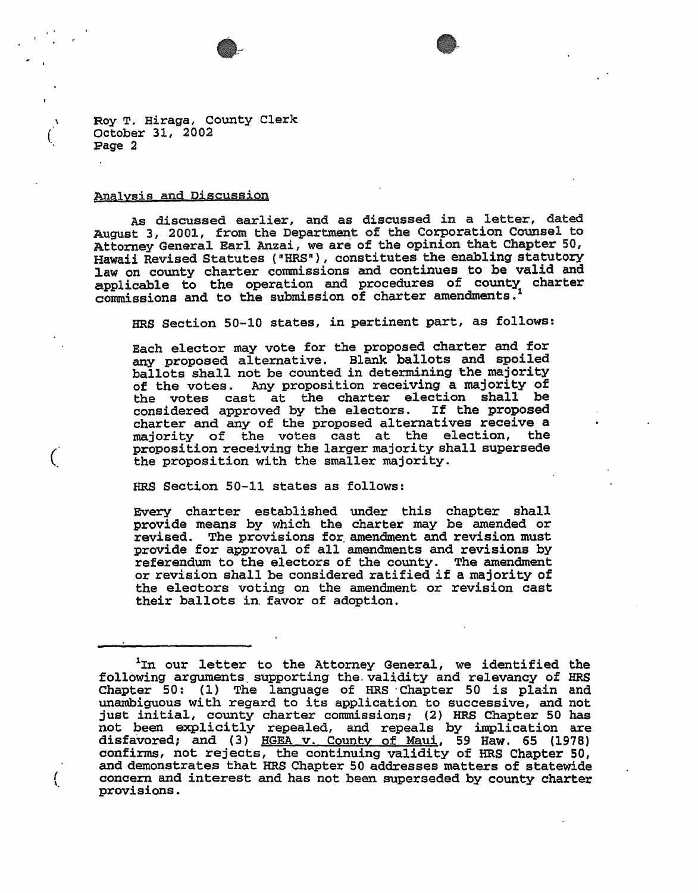



Roy T. Hiraga, County Clerk October 31, 2002 page 2

#### analysis and Discussion

(

 $\big($ 

( \,

As discussed earlier, and as discussed in a letter, dated August 3, 2001, from the Department of the Corporation Counsel to Attorney General Earl Anzai, we are of the opinion that Chapter 50, Hawaii Revised Statutes ("HRS"), constitutes the enabling statutory law on county charter commissions and continues to be valid and applicable to the operation and procedures of county charter commissions and to the submission of charter amendments. <sup>1</sup>

HRS Section 50-10 states, in pertinent part, as follows:

Each elector may vote for the proposed charter and for any proposed alternative. Blank ballots and spoiled ballots shall not be counted in determining the majority of the votes. Any proposition receiving a majority of the votes cast at the charter election shall be considered approved by the electors. If the proposed charter and any of the proposed alternatives receive a majority of the votes cast at the election, the proposition receiving the larger majority shall supersede the proposition with the smaller majority.

HRS Section 50-11 states as follows:

Every charter established under this chapter shall provide means by which the charter may be amended or revised. The provisions for amendment and revision must<br>provide for approval of all amendments and revisions by referendum to the electors of the county. The amendment or revision shall be considered ratified if a majority of the electors voting on the amendment or revision cast their ballots in. favor of adoption.

lIn our letter to the Attorney General, we identified the following arguments. supporting the. validity and relevancy of HRS Chapter 50: (1) The language of HRS' Chapter 50 is plain and unambiguous with regard to its application to successive, and not just initial, county charter commissions; (2) HRS Chapter 50 has not been explicitly repealed, and repeals by implication are disfavored; and (3) HGEA v. County of Maui, 59 Haw. 65 (1978) confirms, not rejects, the continuing validity of HRS Chapter 50, and demonstrates that HRS Chapter 50 addresses matters of statewide concern and interest and has not been superseded by county charter provisions.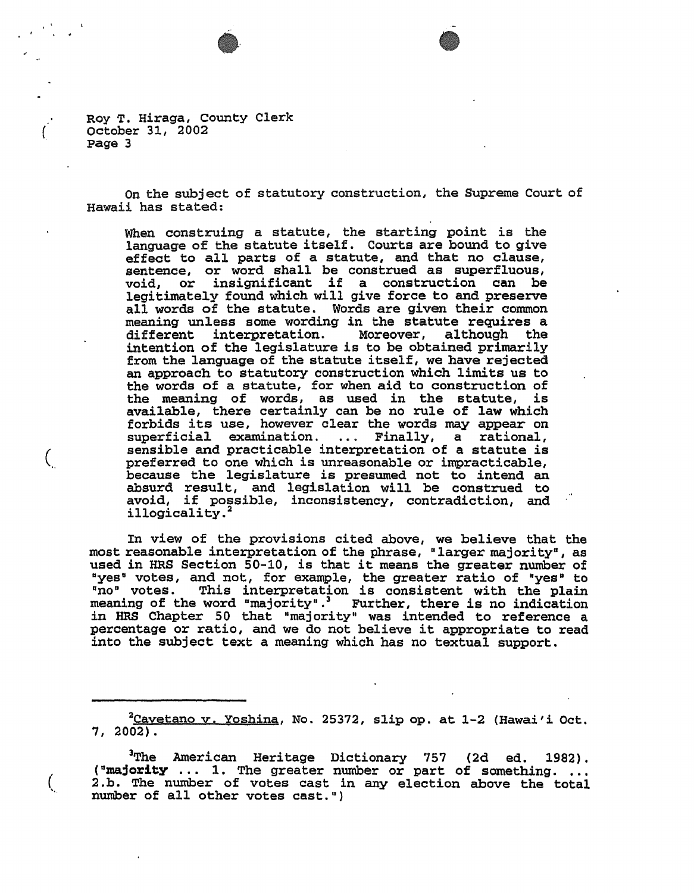Roy T. Hiraga, County Clerk october 31, 2002 page 3

(

 $\left(\right)$ 

 $\bigl($ 

On the subj ect of statutory construction, the Supreme Court of Hawaii has stated:

When construing a statute, the starting point is the language of the statute itself. Courts are bound to give language of the statute itself. Courts are bound *to* give effect *to* all parts of a statute, and that no clause, sentence, or word shall be construed as superfluous, void, or insignificant if a construction can be void, or insignificant if a construction can be legitimately found which will give force to and preserve all words of the statute. Words are given their common meaning unless some wording in the statute requires a different interpretation. Moreover, although the intention of the legislature is to be obtained primarily from the language of the statute itself, we have rejected an approach to statutory construction which limits us to the words of a statute, for when aid to construction of the words of a statute, for when and to construction of available, there certainly can be no rule of law which forbids its use, however clear the words may appear on superficial examination. ... Finally, a rational, sensible and practicable interpretation of a statute is preferred to one which is unreasonable or impracticable, because the legislature is presumed not to intend an absurd result, and legislation will be construed to avoid, if possible, inconsistency, contradiction, and illogicality.<sup>2</sup>

In view of the provisions cited above, we believe that the most reasonable interpretation of the phrase, "larger majority", as most reasonable interpretation of the phrase, "larger majority", as<br>used in HRS Section 50-10, is that it means the greater number of "yes" votes, and not, for example, the greater ratio of "yes" to The votes, this interpretation is consistent with the plain meaning of the word "majority". Further, there is no indication meaning of the word "majority". Further, there is no indication<br>in HRS Chapter 50 that "majority" was intended to reference a percentage or ratio, and we do not believe it appropriate to read into the subject text a meaning which has no textual support.

 $^{2}$ Cayetano v. Yoshina, No. 25372, slip op. at 1-2 (Hawai'i Oct. 7, 2002).

<sup>3</sup>The American Heritage Dictionary 757 (2d ed. 1982).<br>("majority ... 1. The greater number or part of something. ... 2.b. The number of votes cast in any election above the total number of all other votes cast.")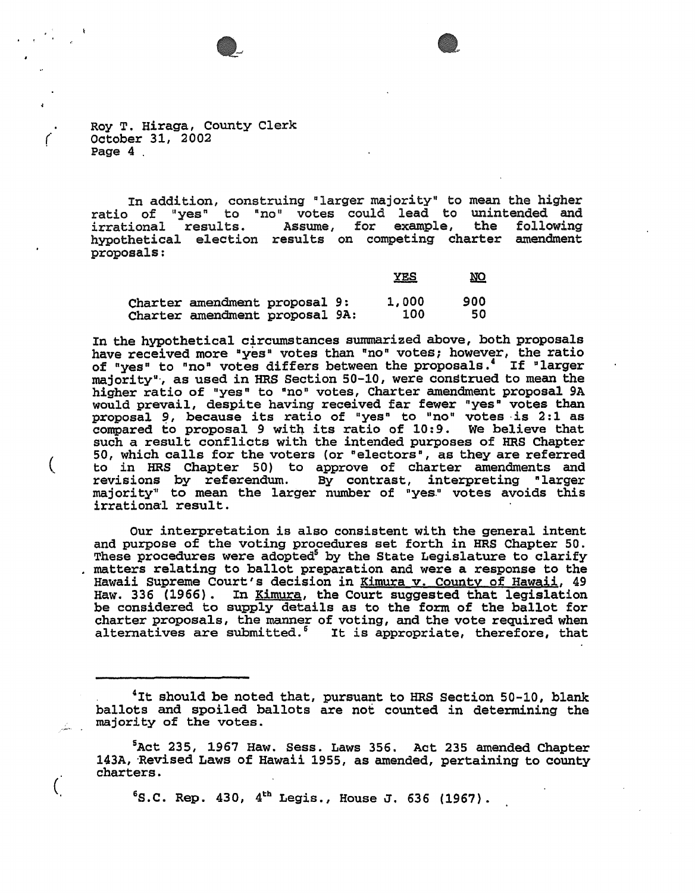



Roy T. Hiraga, County Clerk October 31, 2002 Page 4 .

(

 $\left($ 

 $\left($ 

In addition, construing "larger majority" to mean the higher ratio of "yes" to "no" votes could lead to unintended and<br>irrational results. Assume, for example, the following Assume, for example, hypothetical election results on competing charter amendment proposals:

|                                                                 |  | <b>YES</b>   | NO        |
|-----------------------------------------------------------------|--|--------------|-----------|
| Charter amendment proposal 9:<br>Charter amendment proposal 9A: |  | 1,000<br>100 | 900<br>50 |

In the hypothetical circumstances summarized above, both proposals have received more "yes" votes than "no" votes; however, the ratio of "yes" to "no" votes differs between the proposals.<sup>4</sup> If "larger majority"', as used in HRS Section 50-10, were construed to mean the higher ratio of "yes" to "no" votes, Charter amendment proposal 9A might rusto of you to he week, the calculation prepare in would prevail, despite having received far lewer yes votes than<br>proposal 9, because its ratio of "yes" to "no" votes is 2:1 as proposal 9, because its ratio of yes to no votes is 2.1 as<br>compared to proposal 9 with its ratio of 10:9. We believe that such a result conflicts with the intended purposes of HRS Chapter 50, which calls for the voters (or "electors", as they are referred to in HRS Chapter 50) to approve of charter amendments and<br>revisions by referendum. By contrast, interpreting "larger revisions by referendum. By contrast, interpreting "larger<br>majority" to mean the larger number of "yes." votes avoids this irrational result.

Our interpretation is also consistent with the general intent and purpose of the voting procedures set forth in HRS Chapter 50. These procedures were adopted<sup>5</sup> by the State Legislature to clarify matters relating to ballot preparation and were a response to the Hawaii Supreme Court's decision in Kimura v. County of Hawaii, 49 Haw. 336 (1966). In <u>Kimura</u>, the Court suggested that legislation be considered to supply details as to the form of the ballot for charter proposals, the manner of voting, and the vote required when alternatives are submitted.<sup>6</sup> It is appropriate, therefore, that

 $6$ S.C. Rep. 430,  $4^\text{th}$  Legis., House J. 636 (1967).

<sup>. &#</sup>x27;It should be noted that, pursuant to HRS Section 50-10, blank ballots and spoiled ballots are not counted in determining the majority of the votes.

<sup>&</sup>lt;sup>5</sup>Act 235, 1967 Haw. Sess. Laws 356. Act 235 amended Chapter 143A, 'Revised Laws of Hawaii 1955, as amended, pertaining to county charters.